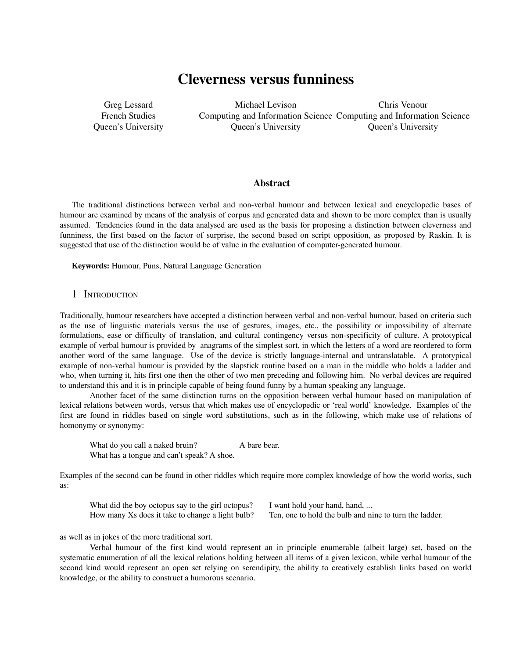# Cleverness versus funniness

Greg Lessard French Studies Queen's University

Michael Levison Computing and Information Science Computing and Information Science Queen's University Chris Venour Queen's University

## Abstract

The traditional distinctions between verbal and non-verbal humour and between lexical and encyclopedic bases of humour are examined by means of the analysis of corpus and generated data and shown to be more complex than is usually assumed. Tendencies found in the data analysed are used as the basis for proposing a distinction between cleverness and funniness, the first based on the factor of surprise, the second based on script opposition, as proposed by Raskin. It is suggested that use of the distinction would be of value in the evaluation of computer-generated humour.

Keywords: Humour, Puns, Natural Language Generation

## 1 INTRODUCTION

Traditionally, humour researchers have accepted a distinction between verbal and non-verbal humour, based on criteria such as the use of linguistic materials versus the use of gestures, images, etc., the possibility or impossibility of alternate formulations, ease or difficulty of translation, and cultural contingency versus nonspecificity of culture. A prototypical example of verbal humour is provided by anagrams of the simplest sort, in which the letters of a word are reordered to form another word of the same language. Use of the device is strictly language-internal and untranslatable. A prototypical example of non-verbal humour is provided by the slapstick routine based on a man in the middle who holds a ladder and who, when turning it, hits first one then the other of two men preceding and following him. No verbal devices are required to understand this and it is in principle capable of being found funny by a human speaking any language.

Another facet of the same distinction turns on the opposition between verbal humour based on manipulation of lexical relations between words, versus that which makes use of encyclopedic or 'real world' knowledge. Examples of the first are found in riddles based on single word substitutions, such as in the following, which make use of relations of homonymy or synonymy:

What do you call a naked bruin? A bare bear. What has a tongue and can't speak? A shoe.

Examples of the second can be found in other riddles which require more complex knowledge of how the world works, such as:

What did the boy octopus say to the girl octopus? I want hold your hand, hand, ...

How many Xs does it take to change a light bulb? Ten, one to hold the bulb and nine to turn the ladder.

as well as in jokes of the more traditional sort.

Verbal humour of the first kind would represent an in principle enumerable (albeit large) set, based on the systematic enumeration of all the lexical relations holding between all items of a given lexicon, while verbal humour of the second kind would represent an open set relying on serendipity, the ability to creatively establish links based on world knowledge, or the ability to construct a humorous scenario.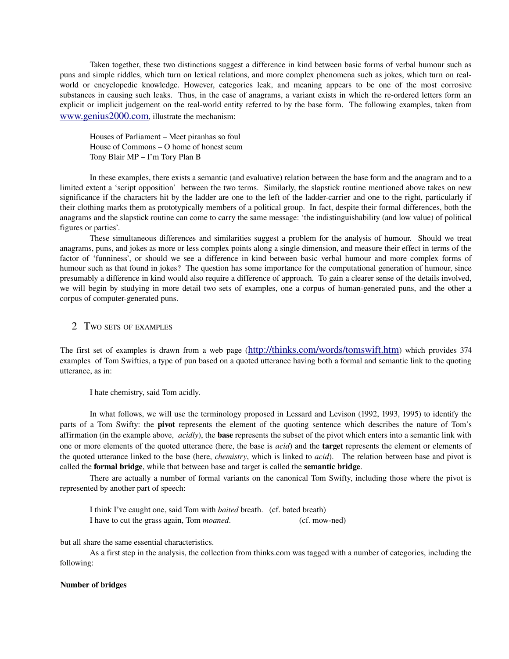Taken together, these two distinctions suggest a difference in kind between basic forms of verbal humour such as puns and simple riddles, which turn on lexical relations, and more complex phenomena such as jokes, which turn on realworld or encyclopedic knowledge. However, categories leak, and meaning appears to be one of the most corrosive substances in causing such leaks. Thus, in the case of anagrams, a variant exists in which the re-ordered letters form an explicit or implicit judgement on the real-world entity referred to by the base form. The following examples, taken from www.genius2000.com, illustrate the mechanism:

Houses of Parliament – Meet piranhas so foul House of Commons – O home of honest scum Tony Blair MP – I'm Tory Plan B

In these examples, there exists a semantic (and evaluative) relation between the base form and the anagram and to a limited extent a 'script opposition' between the two terms. Similarly, the slapstick routine mentioned above takes on new significance if the characters hit by the ladder are one to the left of the ladder-carrier and one to the right, particularly if their clothing marks them as prototypically members of a political group. In fact, despite their formal differences, both the anagrams and the slapstick routine can come to carry the same message: 'the indistinguishability (and low value) of political figures or parties'.

These simultaneous differences and similarities suggest a problem for the analysis of humour. Should we treat anagrams, puns, and jokes as more or less complex points along a single dimension, and measure their effect in terms of the factor of 'funniness', or should we see a difference in kind between basic verbal humour and more complex forms of humour such as that found in jokes? The question has some importance for the computational generation of humour, since presumably a difference in kind would also require a difference of approach. To gain a clearer sense of the details involved, we will begin by studying in more detail two sets of examples, one a corpus of human-generated puns, and the other a corpus of computer-generated puns.

2 TWO SETS OF EXAMPLES

The first set of examples is drawn from a web page (http://thinks.com/words/tomswift.htm) which provides 374 examples of Tom Swifties, a type of pun based on a quoted utterance having both a formal and semantic link to the quoting utterance, as in:

I hate chemistry, said Tom acidly.

In what follows, we will use the terminology proposed in Lessard and Levison (1992, 1993, 1995) to identify the parts of a Tom Swifty: the pivot represents the element of the quoting sentence which describes the nature of Tom's affirmation (in the example above, *acidly*), the base represents the subset of the pivot which enters into a semantic link with one or more elements of the quoted utterance (here, the base is *acid*) and the target represents the element or elements of the quoted utterance linked to the base (here, *chemistry*, which is linked to *acid*). The relation between base and pivot is called the formal bridge, while that between base and target is called the semantic bridge.

There are actually a number of formal variants on the canonical Tom Swifty, including those where the pivot is represented by another part of speech:

I think I've caught one, said Tom with *baited* breath. (cf. bated breath) I have to cut the grass again, Tom *moaned*. (cf. mow-ned)

but all share the same essential characteristics.

As a first step in the analysis, the collection from thinks.com was tagged with a number of categories, including the following:

#### Number of bridges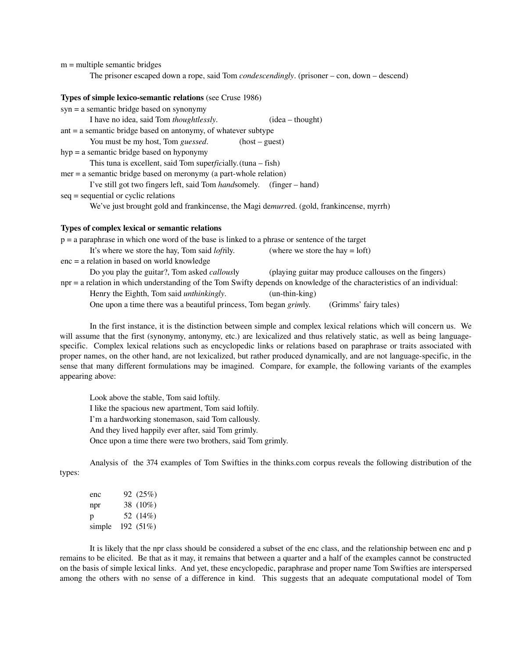$m =$  multiple semantic bridges

The prisoner escaped down a rope, said Tom *condescendingly*. (prisoner – con, down – descend)

#### Types of simple lexico-semantic relations (see Cruse 1986)

| syn = a semantic bridge based on synonymy                                                        |
|--------------------------------------------------------------------------------------------------|
| I have no idea, said Tom <i>thoughtlessly</i> .<br>$(idea - thought)$                            |
| ant = a semantic bridge based on antonymy, of whatever subtype                                   |
| You must be my host, Tom <i>guessed</i> .<br>$(host - guest)$                                    |
| hyp = a semantic bridge based on hyponymy                                                        |
| This tuna is excellent, said Tom superficially. $(tuna - fish)$                                  |
| $mer = a$ semantic bridge based on meronymy (a part-whole relation)                              |
| I've still got two fingers left, said Tom <i>handsomely.</i> (finger – hand)                     |
| seq = sequential or cyclic relations                                                             |
| We've just brought gold and frankincense, the Magi demurred. (gold, frankincense, myrrh)         |
| Types of complex lexical or semantic relations                                                   |
| $p = a$ paraphrase in which one word of the base is linked to a phrase or sentence of the target |
| It's where we store the hay, Tom said <i>loftily</i> .<br>(where we store the hay $=$ loft)      |

enc = a relation in based on world knowledge Do you play the guitar?, Tom asked *callous*ly (playing guitar may produce callouses on the fingers)

npr = a relation in which understanding of the Tom Swifty depends on knowledge of the characteristics of an individual:

Henry the Eighth, Tom said *unthinkingly*. (un-thin-king)

One upon a time there was a beautiful princess, Tom began *grim*ly. (Grimms' fairy tales)

In the first instance, it is the distinction between simple and complex lexical relations which will concern us. We will assume that the first (synonymy, antonymy, etc.) are lexicalized and thus relatively static, as well as being languagespecific. Complex lexical relations such as encyclopedic links or relations based on paraphrase or traits associated with proper names, on the other hand, are not lexicalized, but rather produced dynamically, and are not language-specific, in the sense that many different formulations may be imagined. Compare, for example, the following variants of the examples appearing above:

Look above the stable, Tom said loftily. I like the spacious new apartment, Tom said loftily. I'm a hardworking stonemason, said Tom callously. And they lived happily ever after, said Tom grimly. Once upon a time there were two brothers, said Tom grimly.

Analysis of the 374 examples of Tom Swifties in the thinks.com corpus reveals the following distribution of the types:

| enc    | 92 (25%)     |
|--------|--------------|
| npr    | 38 (10%)     |
| р      | 52 (14%)     |
| simple | 192 $(51\%)$ |

It is likely that the npr class should be considered a subset of the enc class, and the relationship between enc and p remains to be elicited. Be that as it may, it remains that between a quarter and a half of the examples cannot be constructed on the basis of simple lexical links. And yet, these encyclopedic, paraphrase and proper name Tom Swifties are interspersed among the others with no sense of a difference in kind. This suggests that an adequate computational model of Tom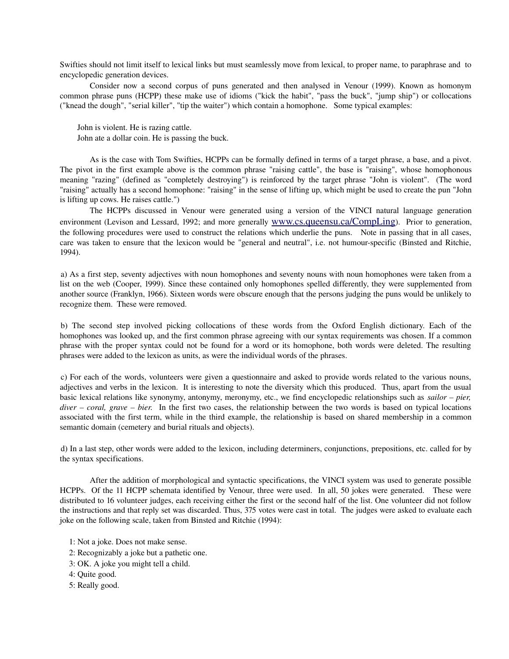Swifties should not limit itself to lexical links but must seamlessly move from lexical, to proper name, to paraphrase and to encyclopedic generation devices.

Consider now a second corpus of puns generated and then analysed in Venour (1999). Known as homonym common phrase puns (HCPP) these make use of idioms ("kick the habit", "pass the buck", "jump ship") or collocations ("knead the dough", "serial killer", "tip the waiter") which contain a homophone. Some typical examples:

John is violent. He is razing cattle.

John ate a dollar coin. He is passing the buck.

As is the case with Tom Swifties, HCPPs can be formally defined in terms of a target phrase, a base, and a pivot. The pivot in the first example above is the common phrase "raising cattle", the base is "raising", whose homophonous meaning "razing" (defined as "completely destroying") is reinforced by the target phrase "John is violent". (The word "raising" actually has a second homophone: "raising" in the sense of lifting up, which might be used to create the pun "John is lifting up cows. He raises cattle.")

The HCPPs discussed in Venour were generated using a version of the VINCI natural language generation environment (Levison and Lessard, 1992; and more generally www.cs.queensu.ca/CompLing). Prior to generation, the following procedures were used to construct the relations which underlie the puns. Note in passing that in all cases, care was taken to ensure that the lexicon would be "general and neutral", i.e. not humourspecific (Binsted and Ritchie, 1994).

a) As a first step, seventy adjectives with noun homophones and seventy nouns with noun homophones were taken from a list on the web (Cooper, 1999). Since these contained only homophones spelled differently, they were supplemented from another source (Franklyn, 1966). Sixteen words were obscure enough that the persons judging the puns would be unlikely to recognize them. These were removed.

b) The second step involved picking collocations of these words from the Oxford English dictionary. Each of the homophones was looked up, and the first common phrase agreeing with our syntax requirements was chosen. If a common phrase with the proper syntax could not be found for a word or its homophone, both words were deleted. The resulting phrases were added to the lexicon as units, as were the individual words of the phrases.

c) For each of the words, volunteers were given a questionnaire and asked to provide words related to the various nouns, adjectives and verbs in the lexicon. It is interesting to note the diversity which this produced. Thus, apart from the usual basic lexical relations like synonymy, antonymy, meronymy, etc., we find encyclopedic relationships such as *sailor – pier, diver – coral, grave – bier.* In the first two cases, the relationship between the two words is based on typical locations associated with the first term, while in the third example, the relationship is based on shared membership in a common semantic domain (cemetery and burial rituals and objects).

d) In a last step, other words were added to the lexicon, including determiners, conjunctions, prepositions, etc. called for by the syntax specifications.

After the addition of morphological and syntactic specifications, the VINCI system was used to generate possible HCPPs. Of the 11 HCPP schemata identified by Venour, three were used. In all, 50 jokes were generated. These were distributed to 16 volunteer judges, each receiving either the first or the second half of the list. One volunteer did not follow the instructions and that reply set was discarded. Thus, 375 votes were cast in total. The judges were asked to evaluate each joke on the following scale, taken from Binsted and Ritchie (1994):

1: Not a joke. Does not make sense.

2: Recognizably a joke but a pathetic one.

3: OK. A joke you might tell a child.

4: Quite good.

5: Really good.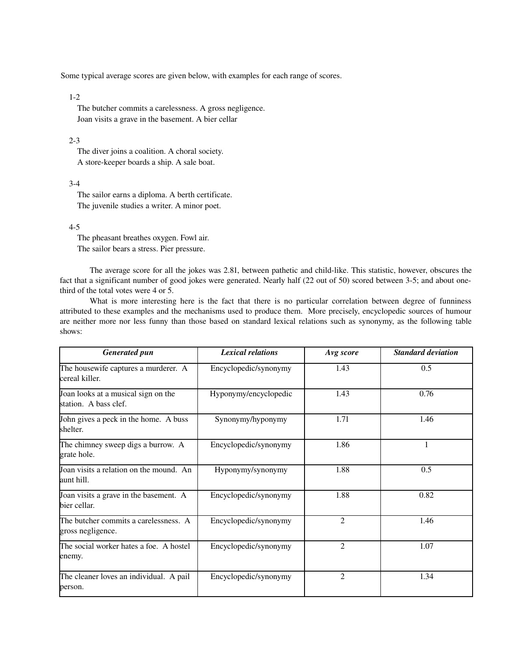Some typical average scores are given below, with examples for each range of scores.

#### $1-2$

 The butcher commits a carelessness. A gross negligence. Joan visits a grave in the basement. A bier cellar

#### $2 - 3$

 The diver joins a coalition. A choral society. A store-keeper boards a ship. A sale boat.

## $3-4$

 The sailor earns a diploma. A berth certificate. The juvenile studies a writer. A minor poet.

#### $4-5$

 The pheasant breathes oxygen. Fowl air. The sailor bears a stress. Pier pressure.

The average score for all the jokes was 2.81, between pathetic and child-like. This statistic, however, obscures the fact that a significant number of good jokes were generated. Nearly half (22 out of 50) scored between 3-5; and about onethird of the total votes were 4 or 5.

What is more interesting here is the fact that there is no particular correlation between degree of funniness attributed to these examples and the mechanisms used to produce them. More precisely, encyclopedic sources of humour are neither more nor less funny than those based on standard lexical relations such as synonymy, as the following table shows:

| <b>Generated pun</b>                                         | <b>Lexical relations</b> | Avg score      | <b>Standard deviation</b> |
|--------------------------------------------------------------|--------------------------|----------------|---------------------------|
| The housewife captures a murderer. A<br>cereal killer.       | Encyclopedic/synonymy    | 1.43           | 0.5                       |
| Joan looks at a musical sign on the<br>station. A bass clef. | Hyponymy/encyclopedic    | 1.43           | 0.76                      |
| John gives a peck in the home. A buss<br>shelter.            | Synonymy/hyponymy        | 1.71           | 1.46                      |
| The chimney sweep digs a burrow. A<br>grate hole.            | Encyclopedic/synonymy    | 1.86           | 1                         |
| Joan visits a relation on the mound. An<br>aunt hill.        | Hyponymy/synonymy        | 1.88           | 0.5                       |
| Joan visits a grave in the basement. A<br>bier cellar.       | Encyclopedic/synonymy    | 1.88           | 0.82                      |
| The butcher commits a carelessness. A<br>gross negligence.   | Encyclopedic/synonymy    | $\overline{2}$ | 1.46                      |
| The social worker hates a foe. A hostel<br>enemy.            | Encyclopedic/synonymy    | $\overline{2}$ | 1.07                      |
| The cleaner loves an individual. A pail<br>person.           | Encyclopedic/synonymy    | $\overline{2}$ | 1.34                      |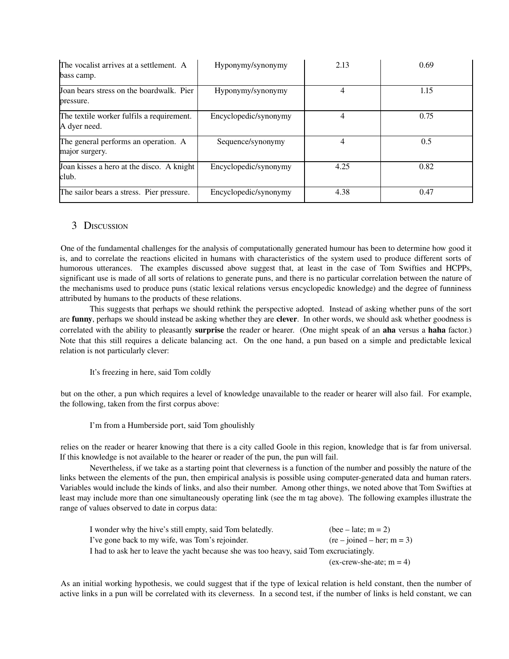| The vocalist arrives at a settlement. A<br>bass camp.     | Hyponymy/synonymy     | 2.13 | 0.69 |
|-----------------------------------------------------------|-----------------------|------|------|
| Joan bears stress on the boardwalk. Pier<br>pressure.     | Hyponymy/synonymy     |      | 1.15 |
| The textile worker fulfils a requirement.<br>A dyer need. | Encyclopedic/synonymy | 4    | 0.75 |
| The general performs an operation. A<br>major surgery.    | Sequence/synonymy     | 4    | 0.5  |
| Joan kisses a hero at the disco. A knight<br>club.        | Encyclopedic/synonymy | 4.25 | 0.82 |
| The sailor bears a stress. Pier pressure.                 | Encyclopedic/synonymy | 4.38 | 0.47 |

## 3 DISCUSSION

One of the fundamental challenges for the analysis of computationally generated humour has been to determine how good it is, and to correlate the reactions elicited in humans with characteristics of the system used to produce different sorts of humorous utterances. The examples discussed above suggest that, at least in the case of Tom Swifties and HCPPs, significant use is made of all sorts of relations to generate puns, and there is no particular correlation between the nature of the mechanisms used to produce puns (static lexical relations versus encyclopedic knowledge) and the degree of funniness attributed by humans to the products of these relations.

This suggests that perhaps we should rethink the perspective adopted. Instead of asking whether puns of the sort are funny, perhaps we should instead be asking whether they are clever. In other words, we should ask whether goodness is correlated with the ability to pleasantly surprise the reader or hearer. (One might speak of an aha versus a haha factor.) Note that this still requires a delicate balancing act. On the one hand, a pun based on a simple and predictable lexical relation is not particularly clever:

### It's freezing in here, said Tom coldly

but on the other, a pun which requires a level of knowledge unavailable to the reader or hearer will also fail. For example, the following, taken from the first corpus above:

### I'm from a Humberside port, said Tom ghoulishly

relies on the reader or hearer knowing that there is a city called Goole in this region, knowledge that is far from universal. If this knowledge is not available to the hearer or reader of the pun, the pun will fail.

Nevertheless, if we take as a starting point that cleverness is a function of the number and possibly the nature of the links between the elements of the pun, then empirical analysis is possible using computer-generated data and human raters. Variables would include the kinds of links, and also their number. Among other things, we noted above that Tom Swifties at least may include more than one simultaneously operating link (see the m tag above). The following examples illustrate the range of values observed to date in corpus data:

| I wonder why the hive's still empty, said Tom belatedly.                                | $(bee - late; m = 2)$        |
|-----------------------------------------------------------------------------------------|------------------------------|
| I've gone back to my wife, was Tom's rejoinder.                                         | $(re - joined - her; m = 3)$ |
| I had to ask her to leave the yacht because she was too heavy, said Tom excruciatingly. |                              |
|                                                                                         | $(ex-crew-she-ate; m = 4)$   |

As an initial working hypothesis, we could suggest that if the type of lexical relation is held constant, then the number of active links in a pun will be correlated with its cleverness. In a second test, if the number of links is held constant, we can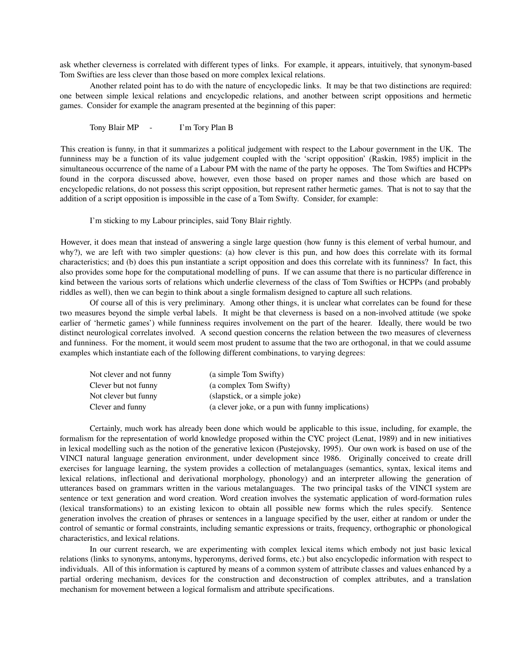ask whether cleverness is correlated with different types of links. For example, it appears, intuitively, that synonym-based Tom Swifties are less clever than those based on more complex lexical relations.

Another related point has to do with the nature of encyclopedic links. It may be that two distinctions are required: one between simple lexical relations and encyclopedic relations, and another between script oppositions and hermetic games. Consider for example the anagram presented at the beginning of this paper:

Tony Blair MP - I'm Tory Plan B

This creation is funny, in that it summarizes a political judgement with respect to the Labour government in the UK. The funniness may be a function of its value judgement coupled with the 'script opposition' (Raskin, 1985) implicit in the simultaneous occurrence of the name of a Labour PM with the name of the party he opposes. The Tom Swifties and HCPPs found in the corpora discussed above, however, even those based on proper names and those which are based on encyclopedic relations, do not possess this script opposition, but represent rather hermetic games. That is not to say that the addition of a script opposition is impossible in the case of a Tom Swifty. Consider, for example:

I'm sticking to my Labour principles, said Tony Blair rightly.

However, it does mean that instead of answering a single large question (how funny is this element of verbal humour, and why?), we are left with two simpler questions: (a) how clever is this pun, and how does this correlate with its formal characteristics; and (b) does this pun instantiate a script opposition and does this correlate with its funniness? In fact, this also provides some hope for the computational modelling of puns. If we can assume that there is no particular difference in kind between the various sorts of relations which underlie cleverness of the class of Tom Swifties or HCPPs (and probably riddles as well), then we can begin to think about a single formalism designed to capture all such relations.

Of course all of this is very preliminary. Among other things, it is unclear what correlates can be found for these two measures beyond the simple verbal labels. It might be that cleverness is based on a non-involved attitude (we spoke earlier of 'hermetic games') while funniness requires involvement on the part of the hearer. Ideally, there would be two distinct neurological correlates involved. A second question concerns the relation between the two measures of cleverness and funniness. For the moment, it would seem most prudent to assume that the two are orthogonal, in that we could assume examples which instantiate each of the following different combinations, to varying degrees:

| Not clever and not funny | (a simple Tom Swifty)                             |
|--------------------------|---------------------------------------------------|
| Clever but not funny     | (a complex Tom Swifty)                            |
| Not clever but funny     | (slapstick, or a simple joke)                     |
| Clever and funny         | (a clever joke, or a pun with funny implications) |

Certainly, much work has already been done which would be applicable to this issue, including, for example, the formalism for the representation of world knowledge proposed within the CYC project (Lenat, 1989) and in new initiatives in lexical modelling such as the notion of the generative lexicon (Pustejovsky, 1995). Our own work is based on use of the VINCI natural language generation environment, under development since 1986. Originally conceived to create drill exercises for language learning, the system provides a collection of metalanguages (semantics, syntax, lexical items and lexical relations, inflectional and derivational morphology, phonology) and an interpreter allowing the generation of utterances based on grammars written in the various metalanguages. The two principal tasks of the VINCI system are sentence or text generation and word creation. Word creation involves the systematic application of word-formation rules (lexical transformations) to an existing lexicon to obtain all possible new forms which the rules specify. Sentence generation involves the creation of phrases or sentences in a language specified by the user, either at random or under the control of semantic or formal constraints, including semantic expressions or traits, frequency, orthographic or phonological characteristics, and lexical relations.

In our current research, we are experimenting with complex lexical items which embody not just basic lexical relations (links to synonyms, antonyms, hyperonyms, derived forms, etc.) but also encyclopedic information with respect to individuals. All of this information is captured by means of a common system of attribute classes and values enhanced by a partial ordering mechanism, devices for the construction and deconstruction of complex attributes, and a translation mechanism for movement between a logical formalism and attribute specifications.